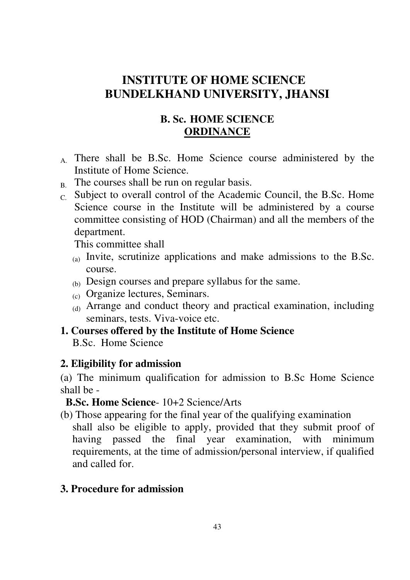# **INSTITUTE OF HOME SCIENCE BUNDELKHAND UNIVERSITY, JHANSI**

# **B. Sc. HOME SCIENCE ORDINANCE**

- A. There shall be B.Sc. Home Science course administered by the Institute of Home Science.
- $B<sub>B</sub>$ . The courses shall be run on regular basis.
- C. Subject to overall control of the Academic Council, the B.Sc. Home Science course in the Institute will be administered by a course committee consisting of HOD (Chairman) and all the members of the department.

This committee shall

- (a) Invite, scrutinize applications and make admissions to the B.Sc. course.
- (b) Design courses and prepare syllabus for the same.
- (c) Organize lectures, Seminars.
- (d) Arrange and conduct theory and practical examination, including seminars, tests. Viva-voice etc.

# **1. Courses offered by the Institute of Home Science**

B.Sc. Home Science

# **2. Eligibility for admission**

(a) The minimum qualification for admission to B.Sc Home Science shall be -

# **B.Sc. Home Science**- 10+2 Science/Arts

(b) Those appearing for the final year of the qualifying examination shall also be eligible to apply, provided that they submit proof of having passed the final year examination, with minimum requirements, at the time of admission/personal interview, if qualified and called for.

# **3. Procedure for admission**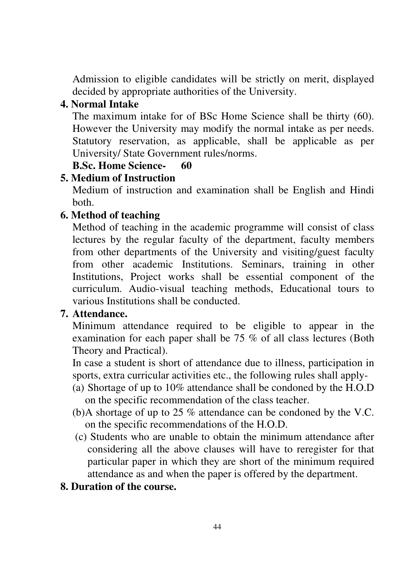Admission to eligible candidates will be strictly on merit, displayed decided by appropriate authorities of the University.

# **4. Normal Intake**

The maximum intake for of BSc Home Science shall be thirty (60). However the University may modify the normal intake as per needs. Statutory reservation, as applicable, shall be applicable as per University/ State Government rules/norms.

# **B.Sc. Home Science- 60**

# **5. Medium of Instruction**

Medium of instruction and examination shall be English and Hindi both.

# **6. Method of teaching**

Method of teaching in the academic programme will consist of class lectures by the regular faculty of the department, faculty members from other departments of the University and visiting/guest faculty from other academic Institutions. Seminars, training in other Institutions, Project works shall be essential component of the curriculum. Audio-visual teaching methods, Educational tours to various Institutions shall be conducted.

# **7. Attendance.**

Minimum attendance required to be eligible to appear in the examination for each paper shall be 75 % of all class lectures (Both Theory and Practical).

In case a student is short of attendance due to illness, participation in sports, extra curricular activities etc., the following rules shall apply-

- (a) Shortage of up to 10% attendance shall be condoned by the H.O.D on the specific recommendation of the class teacher.
- (b) A shortage of up to 25 % attendance can be condoned by the V.C. on the specific recommendations of the H.O.D.
- (c) Students who are unable to obtain the minimum attendance after considering all the above clauses will have to reregister for that particular paper in which they are short of the minimum required attendance as and when the paper is offered by the department.
- **8. Duration of the course.**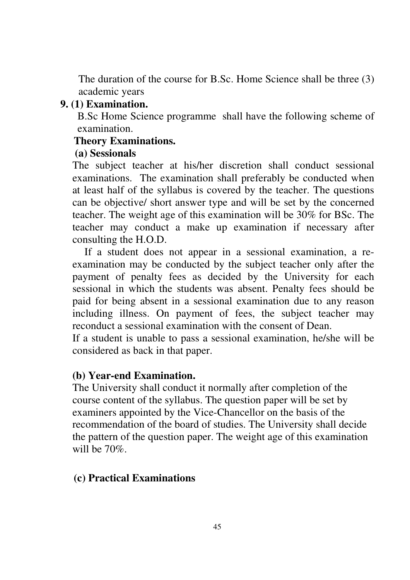The duration of the course for B.Sc. Home Science shall be three (3) academic years

# **9. (1) Examination.**

B.Sc Home Science programme shall have the following scheme of examination.

# **Theory Examinations.**

# **(a) Sessionals**

The subject teacher at his/her discretion shall conduct sessional examinations. The examination shall preferably be conducted when at least half of the syllabus is covered by the teacher. The questions can be objective/ short answer type and will be set by the concerned teacher. The weight age of this examination will be 30% for BSc. The teacher may conduct a make up examination if necessary after consulting the H.O.D.

If a student does not appear in a sessional examination, a reexamination may be conducted by the subject teacher only after the payment of penalty fees as decided by the University for each sessional in which the students was absent. Penalty fees should be paid for being absent in a sessional examination due to any reason including illness. On payment of fees, the subject teacher may reconduct a sessional examination with the consent of Dean.

If a student is unable to pass a sessional examination, he/she will be considered as back in that paper.

# **(b) Year-end Examination.**

The University shall conduct it normally after completion of the course content of the syllabus. The question paper will be set by examiners appointed by the Vice-Chancellor on the basis of the recommendation of the board of studies. The University shall decide the pattern of the question paper. The weight age of this examination will be 70%.

# **(c) Practical Examinations**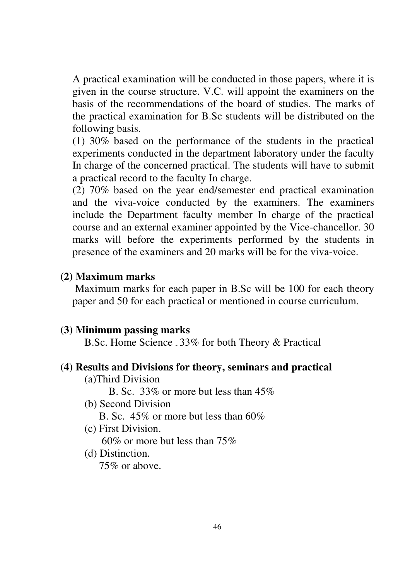A practical examination will be conducted in those papers, where it is given in the course structure. V.C. will appoint the examiners on the basis of the recommendations of the board of studies. The marks of the practical examination for B.Sc students will be distributed on the following basis.

 (1) 30% based on the performance of the students in the practical experiments conducted in the department laboratory under the faculty In charge of the concerned practical. The students will have to submit a practical record to the faculty In charge.

(2) 70% based on the year end/semester end practical examination and the viva-voice conducted by the examiners. The examiners include the Department faculty member In charge of the practical course and an external examiner appointed by the Vice-chancellor. 30 marks will before the experiments performed by the students in presence of the examiners and 20 marks will be for the viva-voice.

# **(2) Maximum marks**

 Maximum marks for each paper in B.Sc will be 100 for each theory paper and 50 for each practical or mentioned in course curriculum.

## **(3) Minimum passing marks**

B.Sc. Home Science - 33% for both Theory & Practical

## **(4) Results and Divisions for theory, seminars and practical**

(a)Third Division

B. Sc. 33% or more but less than 45%

(b) Second Division

B. Sc. 45% or more but less than 60%

(c) First Division.

60% or more but less than 75%

(d) Distinction.

75% or above.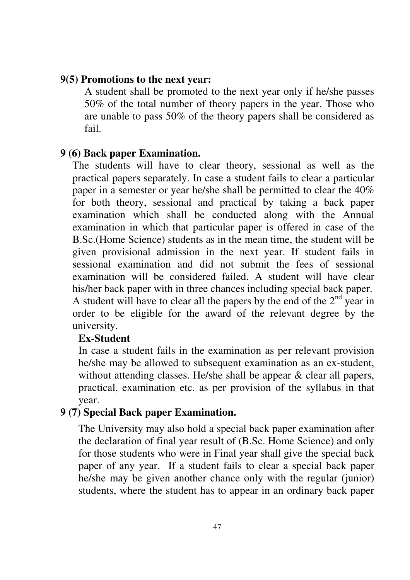### **9(5) Promotions to the next year:**

A student shall be promoted to the next year only if he/she passes 50% of the total number of theory papers in the year. Those who are unable to pass 50% of the theory papers shall be considered as fail.

## **9 (6) Back paper Examination.**

The students will have to clear theory, sessional as well as the practical papers separately. In case a student fails to clear a particular paper in a semester or year he/she shall be permitted to clear the 40% for both theory, sessional and practical by taking a back paper examination which shall be conducted along with the Annual examination in which that particular paper is offered in case of the B.Sc.(Home Science) students as in the mean time, the student will be given provisional admission in the next year. If student fails in sessional examination and did not submit the fees of sessional examination will be considered failed. A student will have clear his/her back paper with in three chances including special back paper. A student will have to clear all the papers by the end of the  $2<sup>nd</sup>$  year in order to be eligible for the award of the relevant degree by the university.

### **Ex-Student**

In case a student fails in the examination as per relevant provision he/she may be allowed to subsequent examination as an ex-student, without attending classes. He/she shall be appear & clear all papers, practical, examination etc. as per provision of the syllabus in that year.

## **9 (7) Special Back paper Examination.**

The University may also hold a special back paper examination after the declaration of final year result of (B.Sc. Home Science) and only for those students who were in Final year shall give the special back paper of any year. If a student fails to clear a special back paper he/she may be given another chance only with the regular (junior) students, where the student has to appear in an ordinary back paper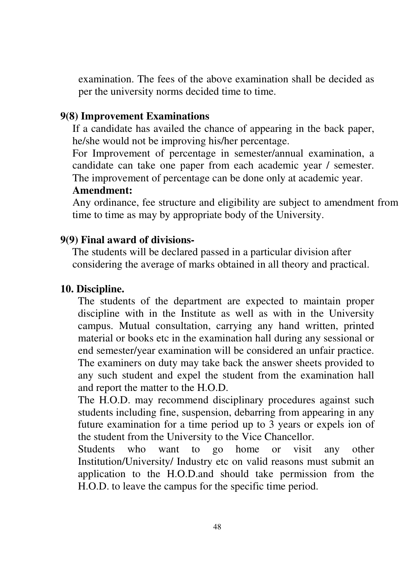examination. The fees of the above examination shall be decided as per the university norms decided time to time.

# **9(8) Improvement Examinations**

If a candidate has availed the chance of appearing in the back paper, he/she would not be improving his/her percentage.

For Improvement of percentage in semester/annual examination, a candidate can take one paper from each academic year / semester. The improvement of percentage can be done only at academic year.

# **Amendment:**

Any ordinance, fee structure and eligibility are subject to amendment from time to time as may by appropriate body of the University.

# **9(9) Final award of divisions-**

The students will be declared passed in a particular division after considering the average of marks obtained in all theory and practical.

# **10. Discipline.**

The students of the department are expected to maintain proper discipline with in the Institute as well as with in the University campus. Mutual consultation, carrying any hand written, printed material or books etc in the examination hall during any sessional or end semester/year examination will be considered an unfair practice. The examiners on duty may take back the answer sheets provided to any such student and expel the student from the examination hall and report the matter to the H.O.D.

The H.O.D. may recommend disciplinary procedures against such students including fine, suspension, debarring from appearing in any future examination for a time period up to 3 years or expels ion of the student from the University to the Vice Chancellor.

Students who want to go home or visit any other Institution/University/ Industry etc on valid reasons must submit an application to the H.O.D.and should take permission from the H.O.D. to leave the campus for the specific time period.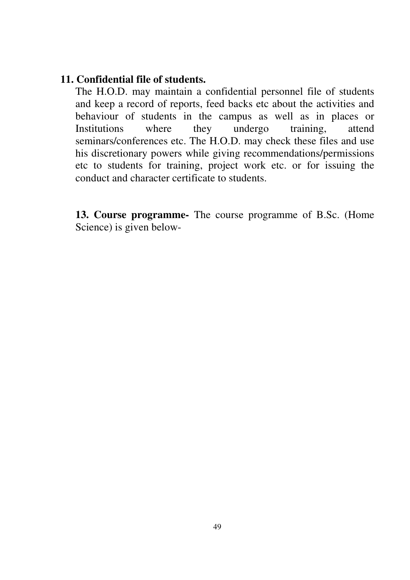# **11. Confidential file of students.**

The H.O.D. may maintain a confidential personnel file of students and keep a record of reports, feed backs etc about the activities and behaviour of students in the campus as well as in places or Institutions where they undergo training, attend seminars/conferences etc. The H.O.D. may check these files and use his discretionary powers while giving recommendations/permissions etc to students for training, project work etc. or for issuing the conduct and character certificate to students.

**13. Course programme-** The course programme of B.Sc. (Home Science) is given below-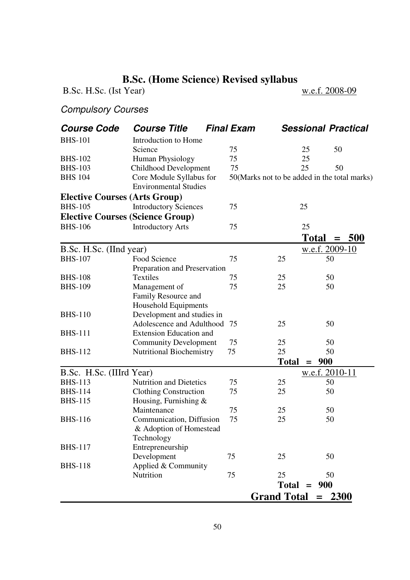# **B.Sc. (Home Science) Revised syllabus**<br> **Example 1 Year)**<br> **Example 2008-09**

B.Sc. H.Sc. (Ist Year)

# Compulsory Courses

| <b>Course Code</b>                         | <b>Course Title</b>                                   | <b>Final Exam</b> |                                              | <b>Sessional Practical</b>  |     |  |  |
|--------------------------------------------|-------------------------------------------------------|-------------------|----------------------------------------------|-----------------------------|-----|--|--|
| <b>BHS-101</b>                             | Introduction to Home                                  |                   |                                              |                             |     |  |  |
|                                            | Science                                               | 75                |                                              | 25<br>50                    |     |  |  |
| <b>BHS-102</b>                             | Human Physiology                                      | 75                |                                              | 25                          |     |  |  |
| <b>BHS-103</b>                             | Childhood Development                                 | 75                |                                              | 25<br>50                    |     |  |  |
| <b>BHS 104</b>                             | Core Module Syllabus for                              |                   | 50(Marks not to be added in the total marks) |                             |     |  |  |
|                                            | <b>Environmental Studies</b>                          |                   |                                              |                             |     |  |  |
| <b>Elective Courses (Arts Group)</b>       |                                                       |                   |                                              |                             |     |  |  |
| <b>BHS-105</b>                             | <b>Introductory Sciences</b>                          | 75                |                                              | 25                          |     |  |  |
| <b>Elective Courses (Science Group)</b>    |                                                       |                   |                                              |                             |     |  |  |
| <b>BHS-106</b>                             | <b>Introductory Arts</b>                              | 75                |                                              | 25                          |     |  |  |
|                                            |                                                       |                   |                                              | <b>Total</b><br>$=$         | 500 |  |  |
|                                            |                                                       |                   |                                              | w.e.f. 2009-10              |     |  |  |
| B.Sc. H.Sc. (IInd year)<br><b>BHS-107</b>  | Food Science                                          | 75                |                                              |                             |     |  |  |
|                                            |                                                       |                   | 25                                           | 50                          |     |  |  |
| <b>BHS-108</b>                             | Preparation and Preservation<br><b>Textiles</b>       | 75                | 25                                           | 50                          |     |  |  |
| <b>BHS-109</b>                             | Management of                                         | 75                | 25                                           | 50                          |     |  |  |
|                                            |                                                       |                   |                                              |                             |     |  |  |
|                                            | Family Resource and<br>Household Equipments           |                   |                                              |                             |     |  |  |
| <b>BHS-110</b>                             | Development and studies in                            |                   |                                              |                             |     |  |  |
|                                            | Adolescence and Adulthood                             | 75                | 25                                           | 50                          |     |  |  |
| <b>BHS-111</b>                             | <b>Extension Education and</b>                        |                   |                                              |                             |     |  |  |
|                                            | <b>Community Development</b>                          | 75                | 25                                           | 50                          |     |  |  |
| <b>BHS-112</b>                             | <b>Nutritional Biochemistry</b>                       | 75                | 25                                           | 50                          |     |  |  |
|                                            |                                                       |                   | <b>Total</b>                                 | 900<br>$=$                  |     |  |  |
|                                            |                                                       |                   |                                              |                             |     |  |  |
| B.Sc. H.Sc. (IIIrd Year)<br><b>BHS-113</b> | <b>Nutrition and Dietetics</b>                        | 75                | 25                                           | <u>w.e.f. 2010-11</u><br>50 |     |  |  |
| <b>BHS-114</b>                             |                                                       | 75                | 25                                           | 50                          |     |  |  |
| <b>BHS-115</b>                             | <b>Clothing Construction</b><br>Housing, Furnishing & |                   |                                              |                             |     |  |  |
|                                            | Maintenance                                           | 75                | 25                                           | 50                          |     |  |  |
| <b>BHS-116</b>                             | Communication, Diffusion                              | 75                | 25                                           | 50                          |     |  |  |
|                                            | & Adoption of Homestead                               |                   |                                              |                             |     |  |  |
|                                            | Technology                                            |                   |                                              |                             |     |  |  |
| <b>BHS-117</b>                             | Entrepreneurship                                      |                   |                                              |                             |     |  |  |
|                                            | Development                                           | 75                | 25                                           | 50                          |     |  |  |
| <b>BHS-118</b>                             | Applied & Community                                   |                   |                                              |                             |     |  |  |
|                                            | Nutrition                                             | 75                | 25                                           | 50                          |     |  |  |
|                                            |                                                       |                   |                                              | $Total = 900$               |     |  |  |
|                                            |                                                       |                   |                                              |                             |     |  |  |
|                                            |                                                       |                   | Grand Total $= 2300$                         |                             |     |  |  |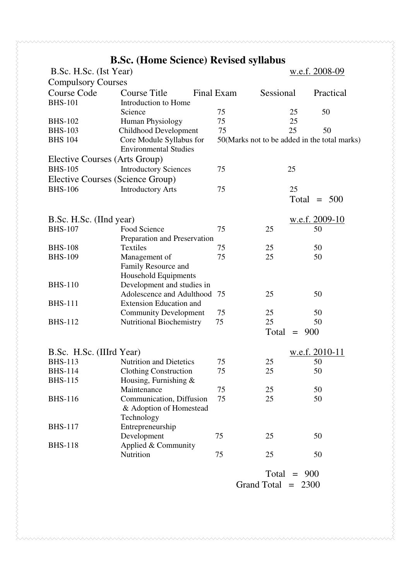# **B.Sc. (Home Science) Revised syllabus**

| B.Sc. H.Sc. (Ist Year)           |                                                          |  |                                              |           |         | w.e.f. 2008-09 |  |
|----------------------------------|----------------------------------------------------------|--|----------------------------------------------|-----------|---------|----------------|--|
| <b>Compulsory Courses</b>        |                                                          |  |                                              |           |         |                |  |
| <b>Course Code</b>               | <b>Course Title</b>                                      |  | Final Exam                                   | Sessional |         | Practical      |  |
| <b>BHS-101</b>                   | Introduction to Home                                     |  |                                              |           |         |                |  |
|                                  | Science                                                  |  | 75                                           |           | 25      | 50             |  |
| <b>BHS-102</b>                   | Human Physiology                                         |  | 75                                           |           | 25      |                |  |
| <b>BHS-103</b>                   | Childhood Development                                    |  | 75                                           |           | 25      | 50             |  |
| <b>BHS 104</b>                   | Core Module Syllabus for<br><b>Environmental Studies</b> |  | 50(Marks not to be added in the total marks) |           |         |                |  |
| Elective Courses (Arts Group)    |                                                          |  |                                              |           |         |                |  |
| <b>BHS-105</b>                   | <b>Introductory Sciences</b>                             |  | 75                                           |           | 25      |                |  |
| Elective Courses (Science Group) |                                                          |  |                                              |           |         |                |  |
| <b>BHS-106</b>                   | <b>Introductory Arts</b>                                 |  | 75                                           |           | 25      |                |  |
|                                  |                                                          |  |                                              |           | Total   | $= 500$        |  |
|                                  |                                                          |  |                                              |           |         |                |  |
| B.Sc. H.Sc. (IInd year)          |                                                          |  |                                              |           |         | w.e.f. 2009-10 |  |
| <b>BHS-107</b>                   | Food Science                                             |  | 75                                           | 25        |         | 50             |  |
|                                  | Preparation and Preservation                             |  |                                              |           |         |                |  |
| <b>BHS-108</b>                   | Textiles                                                 |  | 75                                           | 25        |         | 50             |  |
| <b>BHS-109</b>                   | Management of                                            |  | 75                                           | 25        |         | 50             |  |
|                                  | Family Resource and                                      |  |                                              |           |         |                |  |
|                                  | Household Equipments                                     |  |                                              |           |         |                |  |
| <b>BHS-110</b>                   | Development and studies in                               |  |                                              |           |         |                |  |
|                                  | Adolescence and Adulthood 75                             |  |                                              | 25        |         | 50             |  |
| <b>BHS-111</b>                   | <b>Extension Education and</b>                           |  |                                              |           |         |                |  |
|                                  | <b>Community Development</b>                             |  | 75                                           | 25        |         | 50             |  |
| <b>BHS-112</b>                   | <b>Nutritional Biochemistry</b>                          |  | 75                                           | 25        |         | 50             |  |
|                                  |                                                          |  |                                              | Total     | $=$     | 900            |  |
|                                  |                                                          |  |                                              |           |         |                |  |
| B.Sc. H.Sc. (IIIrd Year)         |                                                          |  |                                              |           |         | w.e.f. 2010-11 |  |
| <b>BHS-113</b>                   | <b>Nutrition and Dietetics</b>                           |  | 75                                           | 25        |         | 50             |  |
| <b>BHS-114</b>                   | <b>Clothing Construction</b>                             |  | 75                                           | 25        |         | 50             |  |
| <b>BHS-115</b>                   | Housing, Furnishing &                                    |  |                                              |           |         |                |  |
|                                  | Maintenance                                              |  | 75                                           | 25        |         | 50             |  |
| <b>BHS-116</b>                   | Communication, Diffusion                                 |  | 75                                           | 25        |         | 50             |  |
|                                  | & Adoption of Homestead                                  |  |                                              |           |         |                |  |
|                                  | Technology                                               |  |                                              |           |         |                |  |
| <b>BHS-117</b>                   | Entrepreneurship                                         |  |                                              |           |         |                |  |
|                                  | Development                                              |  | 75                                           | 25        |         | 50             |  |
| <b>BHS-118</b>                   | Applied & Community                                      |  |                                              |           |         |                |  |
|                                  | Nutrition                                                |  | 75                                           | 25        |         | 50             |  |
|                                  |                                                          |  |                                              | Total     | $= 900$ |                |  |
|                                  |                                                          |  |                                              |           |         |                |  |

Grand Total =  $2300$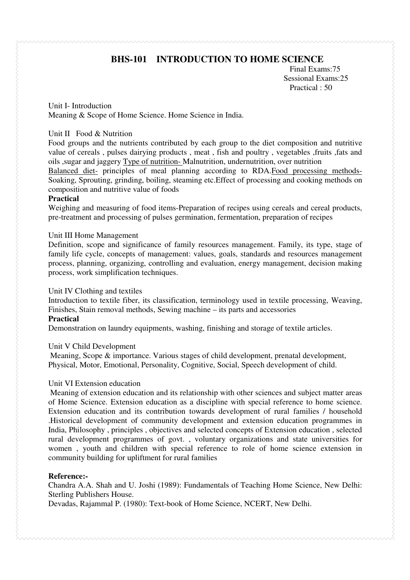# **BHS-101 INTRODUCTION TO HOME SCIENCE**

Final Exams:75 Sessional Exams:25 Practical : 50

Unit I- Introduction Meaning & Scope of Home Science. Home Science in India.

#### Unit II Food & Nutrition

Food groups and the nutrients contributed by each group to the diet composition and nutritive value of cereals , pulses dairying products , meat , fish and poultry , vegetables ,fruits ,fats and oils ,sugar and jaggery Type of nutrition- Malnutrition, undernutrition, over nutrition

Balanced diet- principles of meal planning according to RDA.Food processing methods-Soaking, Sprouting, grinding, boiling, steaming etc.Effect of processing and cooking methods on composition and nutritive value of foods

#### **Practical**

Weighing and measuring of food items-Preparation of recipes using cereals and cereal products, pre-treatment and processing of pulses germination, fermentation, preparation of recipes

#### Unit III Home Management

Definition, scope and significance of family resources management. Family, its type, stage of family life cycle, concepts of management: values, goals, standards and resources management process, planning, organizing, controlling and evaluation, energy management, decision making process, work simplification techniques.

#### Unit IV Clothing and textiles

Introduction to textile fiber, its classification, terminology used in textile processing, Weaving, Finishes, Stain removal methods, Sewing machine – its parts and accessories

#### **Practical**

Demonstration on laundry equipments, washing, finishing and storage of textile articles.

#### Unit V Child Development

 Meaning, Scope & importance. Various stages of child development, prenatal development, Physical, Motor, Emotional, Personality, Cognitive, Social, Speech development of child.

#### Unit VI Extension education

 Meaning of extension education and its relationship with other sciences and subject matter areas of Home Science. Extension education as a discipline with special reference to home science. Extension education and its contribution towards development of rural families / household .Historical development of community development and extension education programmes in India, Philosophy , principles , objectives and selected concepts of Extension education , selected rural development programmes of govt. , voluntary organizations and state universities for women , youth and children with special reference to role of home science extension in community building for upliftment for rural families

#### **Reference:-**

Chandra A.A. Shah and U. Joshi (1989): Fundamentals of Teaching Home Science, New Delhi: Sterling Publishers House.

Devadas, Rajammal P. (1980): Text-book of Home Science, NCERT, New Delhi.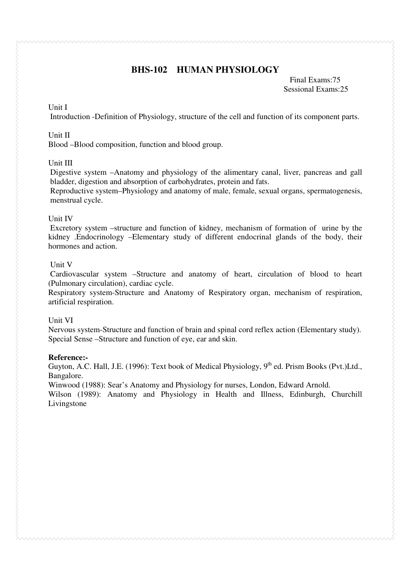# **BHS-102 HUMAN PHYSIOLOGY**

 Final Exams:75 Sessional Exams:25

#### Unit I

Introduction -Definition of Physiology, structure of the cell and function of its component parts.

#### Unit II

Blood –Blood composition, function and blood group.

#### Unit III

Digestive system –Anatomy and physiology of the alimentary canal, liver, pancreas and gall bladder, digestion and absorption of carbohydrates, protein and fats.

Reproductive system–Physiology and anatomy of male, female, sexual organs, spermatogenesis, menstrual cycle.

#### Unit IV

 Excretory system –structure and function of kidney, mechanism of formation of urine by the kidney .Endocrinology –Elementary study of different endocrinal glands of the body, their hormones and action.

#### Unit V

 Cardiovascular system –Structure and anatomy of heart, circulation of blood to heart (Pulmonary circulation), cardiac cycle.

Respiratory system-Structure and Anatomy of Respiratory organ, mechanism of respiration, artificial respiration.

#### Unit VI

Nervous system-Structure and function of brain and spinal cord reflex action (Elementary study). Special Sense –Structure and function of eye, ear and skin.

#### **Reference:-**

Guyton, A.C. Hall, J.E. (1996): Text book of Medical Physiology,  $9^{th}$  ed. Prism Books (Pvt.)Ltd., Bangalore.

Winwood (1988): Sear's Anatomy and Physiology for nurses, London, Edward Arnold.

Wilson (1989): Anatomy and Physiology in Health and Illness, Edinburgh, Churchill Livingstone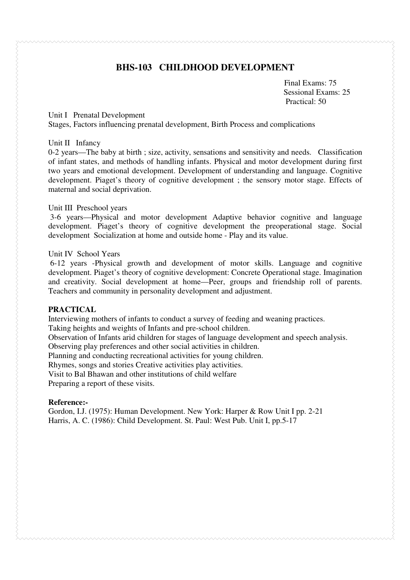# **BHS-103 CHILDHOOD DEVELOPMENT**

**Final Exams: 75**  Sessional Exams: 25 Practical: 50

#### Unit I Prenatal Development

Stages, Factors influencing prenatal development, Birth Process and complications

#### Unit II Infancy

0-2 years—The baby at birth ; size, activity, sensations and sensitivity and needs. Classification of infant states, and methods of handling infants. Physical and motor development during first two years and emotional development. Development of understanding and language. Cognitive development. Piaget's theory of cognitive development ; the sensory motor stage. Effects of maternal and social deprivation.

#### Unit III Preschool years

 3-6 years—Physical and motor development Adaptive behavior cognitive and language development. Piaget's theory of cognitive development the preoperational stage. Social development Socialization at home and outside home - Play and its value.

#### Unit IV School Years

 6-12 years -Physical growth and development of motor skills. Language and cognitive development. Piaget's theory of cognitive development: Concrete Operational stage. Imagination and creativity. Social development at home—Peer, groups and friendship roll of parents. Teachers and community in personality development and adjustment.

#### **PRACTICAL**

Interviewing mothers of infants to conduct a survey of feeding and weaning practices.

Taking heights and weights of Infants and pre-school children.

Observation of Infants arid children for stages of language development and speech analysis. Observing play preferences and other social activities in children.

Planning and conducting recreational activities for young children.

Rhymes, songs and stories Creative activities play activities.

Visit to Bal Bhawan and other institutions of child welfare

Preparing a report of these visits.

#### **Reference:-**

Gordon, I.J. (1975): Human Development. New York: Harper & Row Unit I pp. 2-21 Harris, A. C. (1986): Child Development. St. Paul: West Pub. Unit I, pp.5-17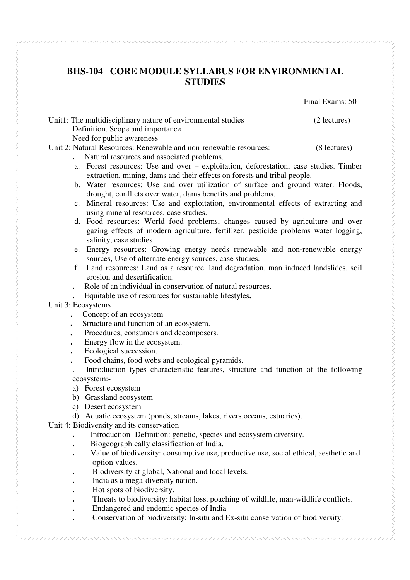# **BHS-104 CORE MODULE SYLLABUS FOR ENVIRONMENTAL STUDIES**

Final Exams: 50

Unit1: The multidisciplinary nature of environmental studies (2 lectures) Definition. Scope and importance Need for public awareness

Unit 2: Natural Resources: Renewable and non-renewable resources: (8 lectures)

- **.** Natural resources and associated problems.
- a. Forest resources: Use and over exploitation, deforestation, case studies. Timber extraction, mining, dams and their effects on forests and tribal people.
- b. Water resources: Use and over utilization of surface and ground water. Floods, drought, conflicts over water, dams benefits and problems.
- c. Mineral resources: Use and exploitation, environmental effects of extracting and using mineral resources, case studies.
- d. Food resources: World food problems, changes caused by agriculture and over gazing effects of modern agriculture, fertilizer, pesticide problems water logging, salinity, case studies
- e. Energy resources: Growing energy needs renewable and non-renewable energy sources, Use of alternate energy sources, case studies.
- f. Land resources: Land as a resource, land degradation, man induced landslides, soil erosion and desertification.
- **.** Role of an individual in conservation of natural resources.
	- **.** Equitable use of resources for sustainable lifestyles**.**
- Unit 3: Ecosystems
	- **.** Concept of an ecosystem
	- Structure and function of an ecosystem.
	- Procedures, consumers and decomposers.
	- **.** Energy flow in the ecosystem.
	- **Ecological succession.**
	- Food chains, food webs and ecological pyramids.
	- . Introduction types characteristic features, structure and function of the following ecosystem:-
	- a) Forest ecosystem
	- b) Grassland ecosystem
	- c) Desert ecosystem
	- d) Aquatic ecosystem (ponds, streams, lakes, rivers.oceans, estuaries).

Unit 4: Biodiversity and its conservation

- **.** Introduction- Definition: genetic, species and ecosystem diversity.
- **.** Biogeographically classification of India.
- **.** Value of biodiversity: consumptive use, productive use, social ethical, aesthetic and option values.
- **.** Biodiversity at global, National and local levels.
- **.** India as a mega-diversity nation.
- **.** Hot spots of biodiversity.
- **.** Threats to biodiversity: habitat loss, poaching of wildlife, man-wildlife conflicts.
- **.** Endangered and endemic species of India
- **.** Conservation of biodiversity: In-situ and Ex-situ conservation of biodiversity.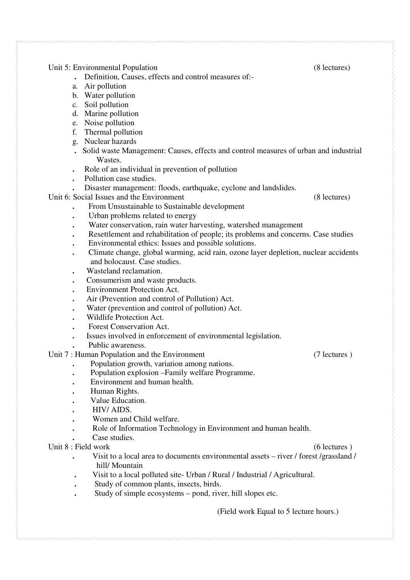#### Unit 5: Environmental Population **b** *s s s s s* **<b>***s s s s s s s s s s s s s s s s s s s s s s s s s s*

- **.** Definition, Causes, effects and control measures of:-
- a. Air pollution
- b. Water pollution
- c. Soil pollution
- d. Marine pollution
- e. Noise pollution
- f. Thermal pollution
- g. Nuclear hazards
- **.** Solid waste Management: Causes, effects and control measures of urban and industrial Wastes.
- **.** Role of an individual in prevention of pollution
- **.** Pollution case studies.
- **.** Disaster management: floods, earthquake, cyclone and landslides.

Unit 6: Social Issues and the Environment (8 lectures)

- **.** From Unsustainable to Sustainable development
- **.** Urban problems related to energy
- **.** Water conservation, rain water harvesting, watershed management
- **.** Resettlement and rehabilitation of people; its problems and concerns. Case studies
- **.** Environmental ethics: Issues and possible solutions.
- **.** Climate change, global warming, acid rain, ozone layer depletion, nuclear accidents and holocaust. Case studies.
- **.** Wasteland reclamation.
- **.** Consumerism and waste products.
- **.** Environment Protection Act.
- **.** Air (Prevention and control of Pollution) Act.
- **.** Water (prevention and control of pollution) Act.
- **.** Wildlife Protection Act.
- **.** Forest Conservation Act.
- **.** Issues involved in enforcement of environmental legislation.
- **.** Public awareness.

#### Unit 7 : Human Population and the Environment (7 lectures )

- **.** Population growth, variation among nations.
	- **.** Population explosion –Family welfare Programme.
- **.** Environment and human health.
- **.** Human Rights.
- **.** Value Education.
- **.** HIV/ AIDS.
- **.** Women and Child welfare.
- **.** Role of Information Technology in Environment and human health.
- **.** Case studies.

#### Unit 8 : Field work (6 lectures )

- **.** Visit to a local area to documents environmental assets river / forest /grassland / hill/ Mountain
- **.** Visit to a local polluted site- Urban / Rural / Industrial / Agricultural.
- **.** Study of common plants, insects, birds.
- **.** Study of simple ecosystems pond, river, hill slopes etc.

(Field work Equal to 5 lecture hours.)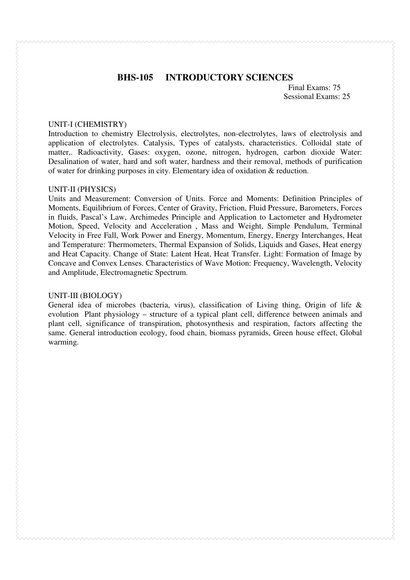## **BHS-105 INTRODUCTORY SCIENCES**

 Final Exams: 75 Sessional Exams: 25

#### UNIT-I (CHEMISTRY)

Introduction to chemistry Electrolysis, electrolytes, non-electrolytes, laws of electrolysis and application of electrolytes. Catalysis, Types of catalysts, characteristics. Colloidal state of matter,. Radioactivity, Gases: oxygen, ozone, nitrogen, hydrogen, carbon dioxide Water: Desalination of water, hard and soft water, hardness and their removal, methods of purification of water for drinking purposes in city. Elementary idea of oxidation & reduction.

#### UNIT-II (PHYSICS)

Units and Measurement: Conversion of Units. Force and Moments: Definition Principles of Moments, Equilibrium of Forces, Center of Gravity, Friction, Fluid Pressure, Barometers, Forces in fluids, Pascal's Law, Archimedes Principle and Application to Lactometer and Hydrometer Motion, Speed, Velocity and Acceleration , Mass and Weight, Simple Pendulum, Terminal Velocity in Free Fall, Work Power and Energy, Momentum, Energy, Energy Interchanges, Heat and Temperature: Thermometers, Thermal Expansion of Solids, Liquids and Gases, Heat energy and Heat Capacity. Change of State: Latent Heat, Heat Transfer. Light: Formation of Image by Concave and Convex Lenses. Characteristics of Wave Motion: Frequency, Wavelength, Velocity and Amplitude, Electromagnetic Spectrum.

#### UNIT-III (BIOLOGY)

General idea of microbes (bacteria, virus), classification of Living thing, Origin of life & evolution Plant physiology – structure of a typical plant cell, difference between animals and plant cell, significance of transpiration, photosynthesis and respiration, factors affecting the same. General introduction ecology, food chain, biomass pyramids, Green house effect, Global warming.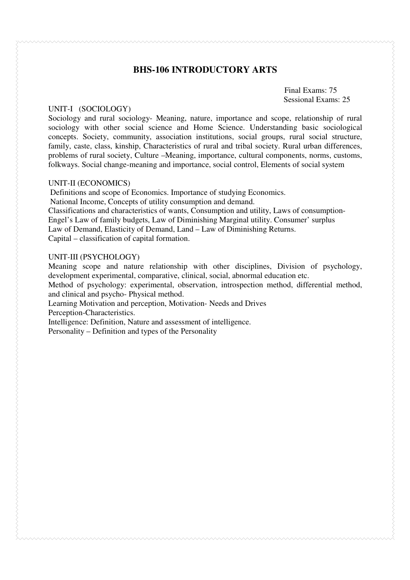### **BHS-106 INTRODUCTORY ARTS**

Final Exams: 75 Sessional Exams: 25

#### UNIT-I (SOCIOLOGY)

Sociology and rural sociology- Meaning, nature, importance and scope, relationship of rural sociology with other social science and Home Science. Understanding basic sociological concepts. Society, community, association institutions, social groups, rural social structure, family, caste, class, kinship, Characteristics of rural and tribal society. Rural urban differences, problems of rural society, Culture –Meaning, importance, cultural components, norms, customs, folkways. Social change-meaning and importance, social control, Elements of social system

#### UNIT-II (ECONOMICS)

 Definitions and scope of Economics. Importance of studying Economics. National Income, Concepts of utility consumption and demand. Classifications and characteristics of wants, Consumption and utility, Laws of consumption-Engel's Law of family budgets, Law of Diminishing Marginal utility. Consumer' surplus Law of Demand, Elasticity of Demand, Land – Law of Diminishing Returns. Capital – classification of capital formation.

#### UNIT-III (PSYCHOLOGY)

Meaning scope and nature relationship with other disciplines, Division of psychology, development experimental, comparative, clinical, social, abnormal education etc.

Method of psychology: experimental, observation, introspection method, differential method, and clinical and psycho- Physical method.

Learning Motivation and perception, Motivation- Needs and Drives

Perception-Characteristics.

Intelligence: Definition, Nature and assessment of intelligence.

Personality – Definition and types of the Personality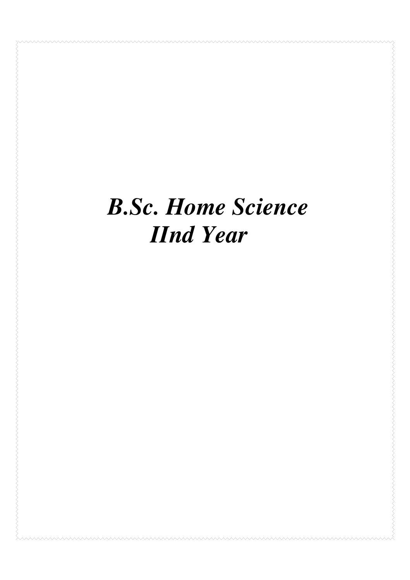# *B.Sc. Home Science IInd Year*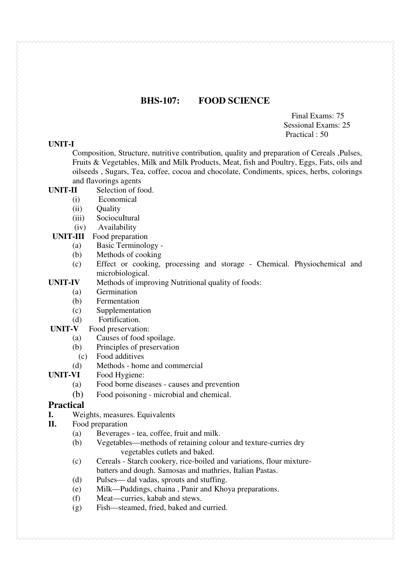#### **BHS-107: FOOD SCIENCE**

Final Exams: 75 Sessional Exams: 25 Practical : 50

#### **UNIT-I**

Composition, Structure, nutritive contribution, quality and preparation of Cereals ,Pulses, Fruits & Vegetables, Milk and Milk Products, Meat, fish and Poultry, Eggs, Fats, oils and oilseeds , Sugars, Tea, coffee, cocoa and chocolate, Condiments, spices, herbs, colorings and flavorings agents

- **UNIT-II** Selection of food.
	- (i)Economical
	- (ii) Ouality
	- (iii) SociocuItural
	- (iv) Availability
	- **UNIT-III** Food preparation
		- (a) Basic Terminology -
		- (b) Methods of cooking
		- (c) Effect or cooking, processing and storage Chemical. Physiochemical and microbiological.
- **UNIT-IV** Methods of improving Nutritional quality of foods:
	- (a) Germination
	- (b) Fermentation
	- (c) Supplementation
	-
- (d) Fortification.<br> **UNIT-V** Food preservation Food preservation:
	- (a) Causes of food spoilage.
	- (b) Principles of preservation
		- (c) Food additives
- (d) Methods home and commercial<br> **UNIT-VI** Food Hygiene:
- Food Hygiene:
	- (a) Food borne diseases causes and prevention
	- (b) Food poisoning microbial and chemical.

#### **Practical**

- **I.** Weights, measures. Equivalents
- **II.** Food preparation
	- (a) Beverages tea, coffee, fruit and milk.
	- (b) Vegetables—methods of retaining colour and texture-curries dry vegetables cutlets and baked.
	- (c) Cereals Starch cookery, rice-boiled and variations, flour mixture batters and dough. Samosas and mathries, Italian Pastas.
	- (d) Pulses— dal vadas, sprouts and stuffing.
	- (e) Milk—Puddings, chaina , Panir and Khoya preparations.
	- (f) Meat—curries, kabab and stews.
	- (g) Fish—steamed, fried, baked and curried.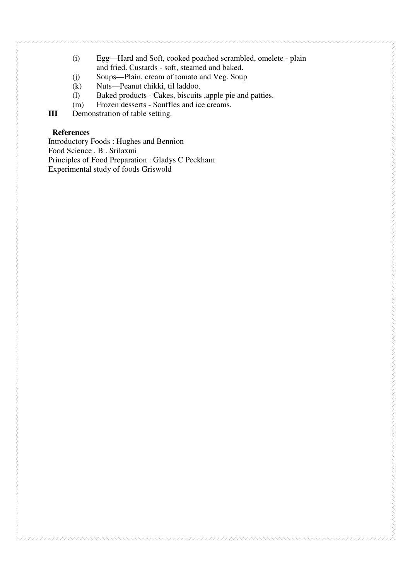- (i) Egg—Hard and Soft, cooked poached scrambled, omelete plain and fried. Custards - soft, steamed and baked.
- (j) Soups—Plain, cream of tomato and Veg. Soup
- (k) Nuts—Peanut chikki, til laddoo.
- (l) Baked products Cakes, biscuits ,apple pie and patties.
- (m) Frozen desserts Souffles and ice creams.<br>  $III$  Demonstration of table setting.
- **Demonstration of table setting.**

#### **References**

Introductory Foods : Hughes and Bennion Food Science . B . Srilaxmi Principles of Food Preparation : Gladys C Peckham Experimental study of foods Griswold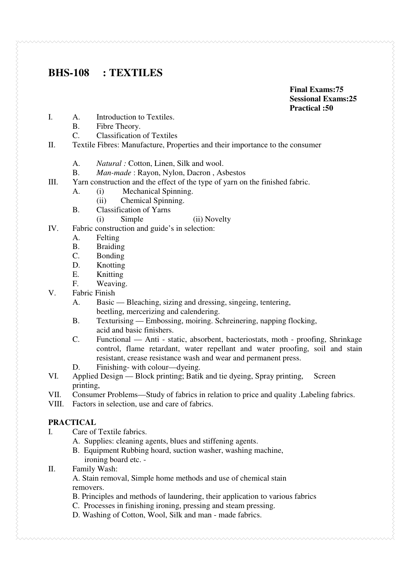# **BHS-108 : TEXTILES**

**Final Exams:75 Sessional Exams:25** 

- I. A. Introduction to Textiles. A. Introduction to Textiles.
	- B. Fibre Theory.
	- C. Classification of Textiles
- II. Textile Fibres: Manufacture, Properties and their importance to the consumer
	- A. *Natural :* Cotton, Linen, Silk and wool.
	- B. *Man-made* : Rayon, Nylon, Dacron , Asbestos
- III. Yarn construction and the effect of the type of yarn on the finished fabric.
	- A. (i) Mechanical Spinning.
		- (ii) Chemical Spinning.
	- B. Classification of Yarns

(i) Simple (ii) Novelty

IV. Fabric construction and guide's in selection:

- A. Felting
- B. Braiding
- C. Bonding
- 
- D. Knotting<br>E. Knitting
- E. Knitting<br>F. Weaving F. Weaving.<br>V Fabric Finish
- Fabric Finish
	- A. Basic Bleaching, sizing and dressing, singeing, tentering, beetling, mercerizing and calendering.
	- B. Texturising Embossing, moiring. Schreinering, napping flocking, acid and basic finishers.<br>
	C. Functional — Anti - sta
	- Functional Anti static, absorbent, bacteriostats, moth proofing, Shrinkage control, flame retardant, water repellant and water proofing, soil and stain resistant, crease resistance wash and wear and permanent press.
	- D. Finishing- with colour—dyeing.
- VI. Applied Design Block printing; Batik and tie dyeing, Spray printing, Screen printing,
- VII. Consumer Problems—Study of fabrics in relation to price and quality .Labeling fabrics.
- VIII. Factors in selection, use and care of fabrics.

#### **PRACTICAL**

- I. Care of Textile fabrics.
	- A. Supplies: cleaning agents, blues and stiffening agents.
	- B. Equipment Rubbing hoard, suction washer, washing machine, ironing board etc. -
- II. Family Wash:

A. Stain removal, Simple home methods and use of chemical stain removers.

- B. Principles and methods of laundering, their application to various fabrics
- C. Processes in finishing ironing, pressing and steam pressing.
- D. Washing of Cotton, Wool, Silk and man made fabrics.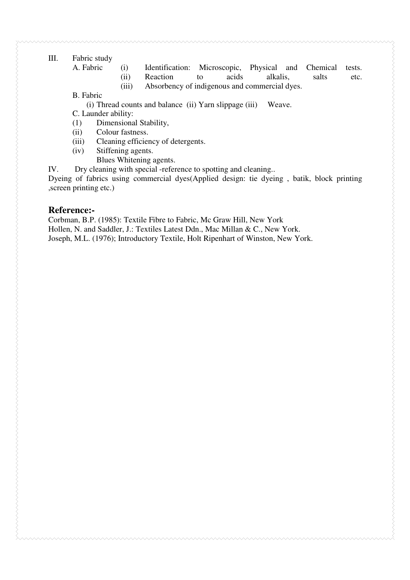#### III. Fabric study

- A. Fabric (i) Identification: Microscopic, Physical and Chemical tests. (ii) Reaction to acids alkalis, salts etc.
	- (iii) Absorbency of indigenous and commercial dyes.

B. Fabric

(i) Thread counts and balance (ii) Yarn slippage (iii) Weave.

C. Launder ability:

- (1) Dimensional Stability,
- (ii) Colour fastness.
- (iii) Cleaning efficiency of detergents.
- (iv) Stiffening agents.
	- Blues Whitening agents.

IV. Dry cleaning with special -reference to spotting and cleaning..

Dyeing of fabrics using commercial dyes(Applied design: tie dyeing , batik, block printing ,screen printing etc.)

#### **Reference:-**

Corbman, B.P. (1985): Textile Fibre to Fabric, Mc Graw Hill, New York Hollen, N. and Saddler, J.: Textiles Latest Ddn., Mac Millan & C., New York. Joseph, M.L. (1976); Introductory Textile, Holt Ripenhart of Winston, New York.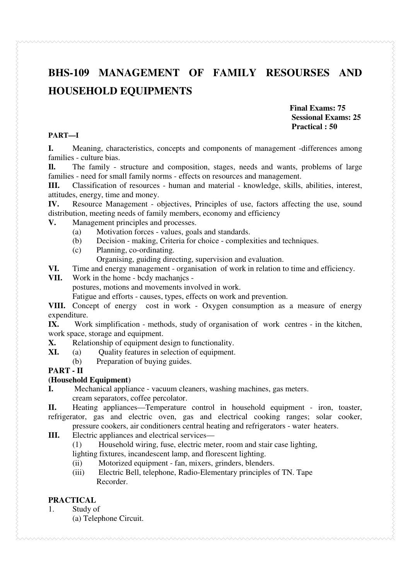# **BHS-109 MANAGEMENT OF FAMILY RESOURSES AND HOUSEHOLD EQUIPMENTS**

**Final Exams: 75 Sessional Exams: 25 Practical : 50** 

#### **PART—I**

**I.** Meaning, characteristics, concepts and components of management -differences among families - culture bias.

**Il.** The family - structure and composition, stages, needs and wants, problems of large families - need for small family norms - effects on resources and management.

**III.** Classification of resources - human and material - knowledge, skills, abilities, interest, attitudes, energy, time and money.

**IV.** Resource Management - objectives, Principles of use, factors affecting the use, sound distribution, meeting needs of family members, economy and efficiency

#### **V.** Management principles and processes.

- (a) Motivation forces values, goals and standards.
- (b) Decision making, Criteria for choice complexities and techniques.
- (c) Planning, co-ordinating.

Organising, guiding directing, supervision and evaluation.<br>VI. Time and energy management - organisation of work in relation t

**VI.** Time and energy management - organisation of work in relation to time and efficiency.<br>**VII.** Work in the home - body machanics -

#### Work in the home - bcdy machanics -

postures, motions and movements involved in work.

Fatigue and efforts - causes, types, effects on work and prevention.

**VIII.** Concept of energy cost in work - Oxygen consumption as a measure of energy expenditure.

**IX.** Work simplification - methods, study of organisation of work centres - in the kitchen, work space, storage and equipment.

**X.** Relationship of equipment design to functionality.

**XI.** (a) Quality features in selection of equipment.

(b) Preparation of buying guides.

#### **PART - II**

#### **(Household Equipment)**

**I.** Mechanical appliance - vacuum cleaners, washing machines, gas meters.

cream separators, coffee percolator.

**II.** Heating appliances—Temperature control in household equipment - iron, toaster, refrigerator, gas and electric oven, gas and electrical cooking ranges; solar cooker, pressure cookers, air conditioners central heating and refrigerators - water heaters.

**III.** Electric appliances and electrical services—

(1) Household wiring, fuse, electric meter, room and stair case lighting,

lighting fixtures, incandescent lamp, and florescent lighting.

- (ii) Motorized equipment fan, mixers, grinders, blenders.
- (iii) Electric Bell, telephone, Radio-Elementary principles of TN. Tape Recorder.

#### **PRACTICAL**

1. Study of

(a) Telephone Circuit.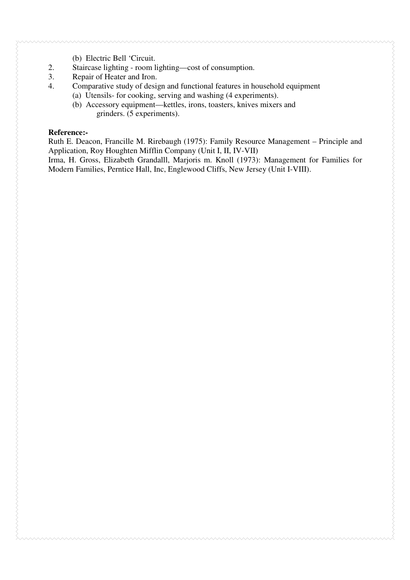- (b) Electric Bell 'Circuit.
- 2. Staircase lighting room lighting—cost of consumption.
- 3. Repair of Heater and Iron.
- 4. Comparative study of design and functional features in household equipment
	- (a) Utensils- for cooking, serving and washing (4 experiments).
	- (b) Accessory equipment—kettles, irons, toasters, knives mixers and grinders. (5 experiments).

#### **Reference:-**

Ruth E. Deacon, Francille M. Rirebaugh (1975): Family Resource Management – Principle and Application, Roy Houghten Mifflin Company (Unit I, II, IV-VII)

Irma, H. Gross, Elizabeth Grandalll, Marjoris m. Knoll (1973): Management for Families for Modern Families, Perntice Hall, Inc, Englewood Cliffs, New Jersey (Unit I-VIII).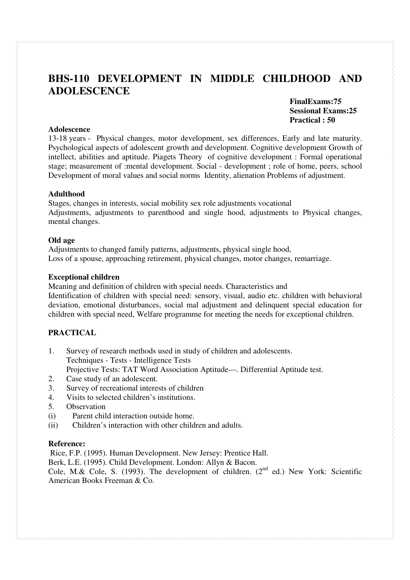# **BHS-110 DEVELOPMENT IN MIDDLE CHILDHOOD AND ADOLESCENCE**

**FinalExams:75 Sessional Exams:25 Practical : 50**

#### **Adolescence**

13-18 years - Physical changes, motor development, sex differences, Early and late maturity. Psychological aspects of adolescent growth and development. Cognitive development Growth of intellect, abilities and aptitude. Piagets Theory of cognitive development : Formal operational stage; measurement of :mental development. Social - development ; role of home, peers, school Development of moral values and social norms Identity, alienation Problems of adjustment.

#### **Adulthood**

Stages, changes in interests, social mobility sex role adjustments vocational Adjustments, adjustments to parenthood and single hood, adjustments to Physical changes, mental changes.

#### **Old age**

Adjustments to changed family patterns, adjustments, physical single hood, Loss of a spouse, approaching retirement, physical changes, motor changes, remarriage.

#### **Exceptional children**

Meaning and definition of children with special needs. Characteristics and Identification of children with special need: sensory, visual, audio etc. children with behavioral deviation, emotional disturbances, social mal adjustment and delinquent special education for children with special need, Welfare programme for meeting the needs for exceptional children.

#### **PRACTICAL**

- 1. Survey of research methods used in study of children and adolescents. Techniques - Tests - Intelligence Tests Projective Tests: TAT Word Association Aptitude—. Differential Aptitude test.
- 2. Case study of an adolescent.
- 3. Survey of recreational interests of children
- 4. Visits to selected children's institutions.
- 5. Observation
- (i) Parent child interaction outside home.
- (ii) Children's interaction with other children and adults.

#### **Reference:**

Rice, F.P. (1995). Human Development. New Jersey: Prentice Hall.

Berk, L.E. (1995). Child Development. London: Allyn & Bacon.

Cole, M.& Cole, S. (1993). The development of children.  $(2^{nd}$  ed.) New York: Scientific American Books Freeman & Co.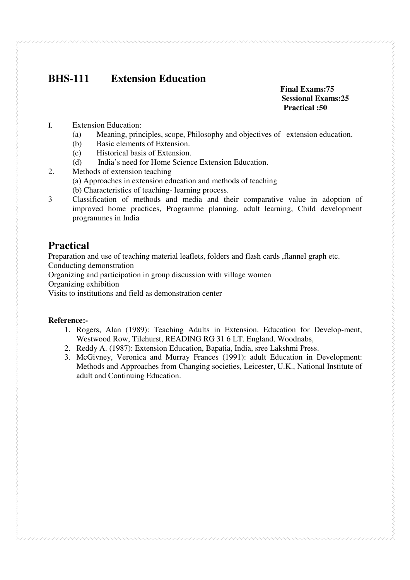# **BHS-111 Extension Education**

#### **Final Exams:75 Sessional Exams:25 Practical :50**

- I. Extension Education:
	- (a) Meaning, principles, scope, Philosophy and objectives of extension education.
	- (b) Basic elements of Extension.
	- (c) Historical basis of Extension.
	- (d) India's need for Home Science Extension Education.
- 2. Methods of extension teaching
	- (a) Approaches in extension education and methods of teaching
	- (b) Characteristics of teaching- learning process.
- 3 Classification of methods and media and their comparative value in adoption of improved home practices, Programme planning, adult learning, Child development programmes in India

# **Practical**

Preparation and use of teaching material leaflets, folders and flash cards ,flannel graph etc.

Conducting demonstration

Organizing and participation in group discussion with village women

Organizing exhibition

Visits to institutions and field as demonstration center

#### **Reference:-**

- 1. Rogers, Alan (1989): Teaching Adults in Extension. Education for Develop-ment, Westwood Row, Tilehurst, READING RG 31 6 LT. England, Woodnabs,
- 2. Reddy A. (1987): Extension Education, Bapatia, India, sree Lakshmi Press.
- 3. McGivney, Veronica and Murray Frances (1991): adult Education in Development: Methods and Approaches from Changing societies, Leicester, U.K., National Institute of adult and Continuing Education.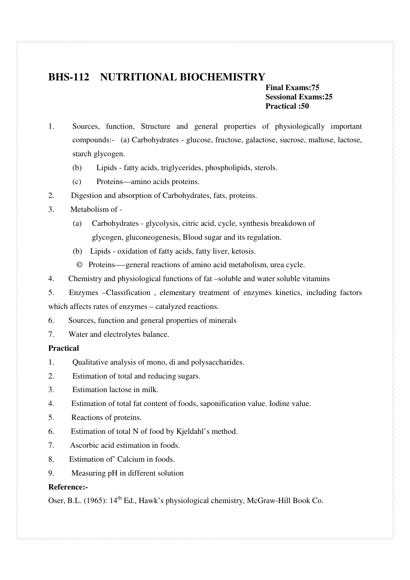# **BHS-112 NUTRITIONAL BIOCHEMISTRY**

#### **Final Exams:75 Sessional Exams:25 Practical :50**

- 1. Sources, function, Structure and general properties of physiologically important compounds:- (a) Carbohydrates - glucose, fructose, galactose, sucrose, maltose, lactose, starch glycogen.
	- (b) Lipids fatty acids, triglycerides, phospholipids, sterols.
	- (c) Proteins—amino acids proteins.
- 2. Digestion and absorption of Carbohydrates, fats, proteins.
- 3. Metabolism of
	- (a) Carbohydrates glycolysis, citric acid, cycle, synthesis breakdown of glycogen, gluconeogenesis, Blood sugar and its regulation.
	- (b) Lipids oxidation of fatty acids, fatty liver, ketosis.
	- © Proteins—-general reactions of amino acid metabolism, urea cycle.
- 4. Chemistry and physiological functions of fat –soluble and water soluble vitamins
- 5. Enzymes –Classification , elementary treatment of enzymes kinetics, including factors

which affects rates of enzymes – catalyzed reactions.

- 6. Sources, function and general properties of minerals
- 7. Water and electrolytes balance.

#### **Practical**

- 1. Qualitative analysis of mono, di and polysaccharides.
- 2. Estimation of total and reducing sugars.
- 3. Estimation lactose in milk.
- 4. Estimation of total fat content of foods, saponification value. Iodine value.
- 5. Reactions of proteins.
- 6. Estimation of total N of food by Kjeldahl's method.
- 7. Ascorbic acid estimation in foods.
- 8. Estimation of' Calcium in foods.
- 9. Measuring pH in different solution

#### **Reference:-**

Oser, B.L. (1965): 14<sup>th</sup> Ed., Hawk's physiological chemistry, McGraw-Hill Book Co.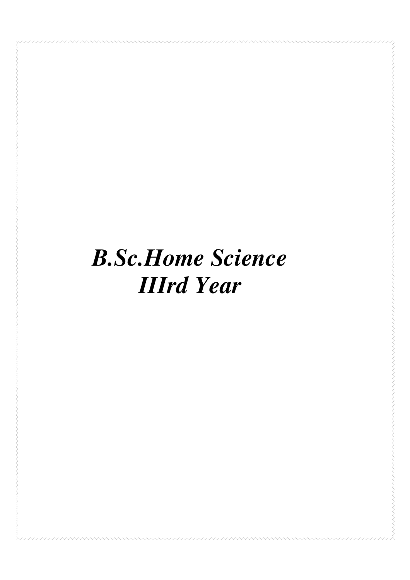# *B.Sc.Home Science*  *IIIrd Year*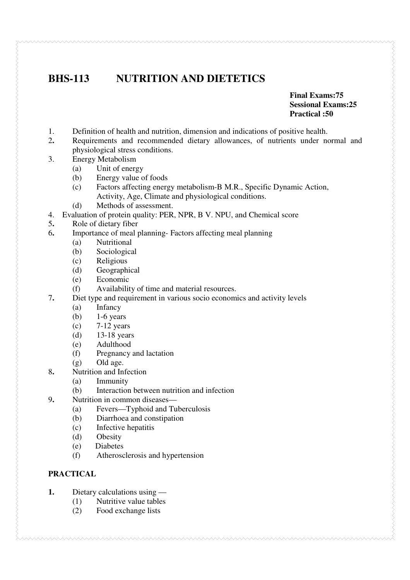# **BHS-113 NUTRITION AND DIETETICS**

#### **Final Exams:75 Sessional Exams:25 Practical :50**

- 1. Definition of health and nutrition, dimension and indications of positive health.
- 2**.** Requirements and recommended dietary allowances, of nutrients under normal and physiological stress conditions.
- 3. Energy Metabolism
	- (a) Unit of energy
	- (b) Energy value of foods
	- (c) Factors affecting energy metabolism-B M.R., Specific Dynamic Action, Activity, Age, Climate and physiological conditions.
	- (d) Methods of assessment.
- 4. Evaluation of protein quality: PER, NPR, B V. NPU, and Chemical score
- 5**.** Role of dietary fiber
- 6**.** Importance of meal planning- Factors affecting meal planning
	- (a) Nutritional
	- (b) Sociological
	- (c) Religious
	- (d) Geographical
	- (e) Economic
	- (f) Availability of time and material resources.
- 7**.** Diet type and requirement in various socio economics and activity levels
	- (a) Infancy
	- (b) 1-6 years
	- (c) 7-12 years
	- (d) 13-18 years
	- (e) Adulthood
	- (f) Pregnancy and lactation
	- (g) Old age.
- 8**.** Nutrition and Infection
	- (a) Immunity
	- (b) Interaction between nutrition and infection
- 9**.** Nutrition in common diseases—
	- (a) Fevers—Typhoid and Tuberculosis
	- (b) Diarrhoea and constipation
	- (c) Infective hepatitis
	- (d) Obesity
	- (e) Diabetes
	- (f) Atherosclerosis and hypertension

#### **PRACTICAL**

- **1.** Dietary calculations using
	- (1) Nutritive value tables
	- (2) Food exchange lists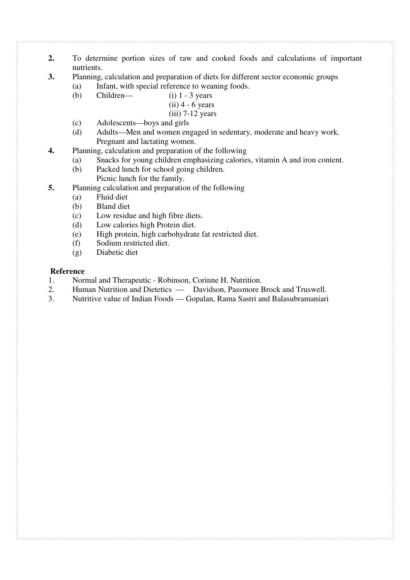- **2.** To determine portion sizes of raw and cooked foods and calculations of important nutrients.
- **3.** Planning, calculation and preparation of diets for different sector economic groups
	- (a) Infant, with special reference to weaning foods.
	- (b) Children—  $(i)$  1 3 years
		- $(ii)$  4 6 years
			- $(iii)$  7-12 years
	- (c) Adolescents—boys and girls
	- (d) Adults—Men and women engaged in sedentary, moderate and heavy work. Pregnant and lactating women.
- **4.** Planning, calculation and preparation of the following
	- (a) Snacks for young children emphasizing calories, vitamin A and iron content.
	- (b) Packed lunch for school going children. Picnic lunch for the family.
- **5.** Planning calculation and preparation of the following
	- (a) Fluid diet
	- (b) Bland diet
	- (c) Low residue and high fibre diets.
	- (d) Low calories high Protein diet.
	- (e) High protein, high carbohydrate fat restricted diet.
	- (f) Sodium restricted diet.
	- (g) Diabetic diet

#### **Reference**

- 1. Normal and Therapeutic Robinson, Corinne H. Nutrition.
- 2. Human Nutrition and Dietetics Davidson, Passmore Brock and Truswell.
- 3. Nutritive value of Indian Foods Gopalan, Rama Sastri and Balasubramaniari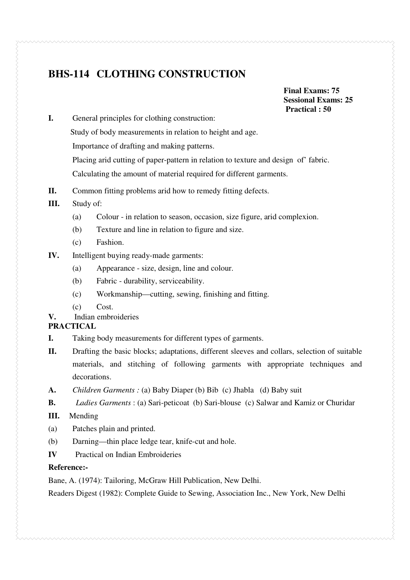# **BHS-114 CLOTHING CONSTRUCTION**

 **Final Exams: 75 Sessional Exams: 25** 

- **1.** General principles for clothing construction: **Practical : 50** General principles for clothing construction: Study of body measurements in relation to height and age. Importance of drafting and making patterns. Placing arid cutting of paper-pattern in relation to texture and design of' fabric. Calculating the amount of material required for different garments.
- **II.** Common fitting problems arid how to remedy fitting defects.
- **III.** Study of:
	- (a) Colour in relation to season, occasion, size figure, arid complexion.
	- (b) Texture and line in relation to figure and size.
	- (c) Fashion.
- **IV.** Intelligent buying ready-made garments:
	- (a) Appearance size, design, line and colour.
	- (b) Fabric durability, serviceability.
	- (c) Workmanship—cutting, sewing, finishing and fitting.
	- (c) Cost.
- **V.** Indian embroideries

#### **PRACTICAL**

- **I.** Taking body measurements for different types of garments.
- **II.** Drafting the basic blocks; adaptations, different sleeves and collars, selection of suitable materials, and stitching of following garments with appropriate techniques and decorations.
- **A.** *Children Garments :* (a) Baby Diaper (b) Bib (c) Jhabla (d) Baby suit
- **B.** *Ladies Garments* : (a) Sari-peticoat (b) Sari-blouse (c) Salwar and Kamiz or Churidar
- **III.** Mending
- (a) Patches plain and printed.
- (b) Darning—thin place ledge tear, knife-cut and hole.
- **IV** Practical on Indian Embroideries

#### **Reference:-**

Bane, A. (1974): Tailoring, McGraw Hill Publication, New Delhi.

Readers Digest (1982): Complete Guide to Sewing, Association Inc., New York, New Delhi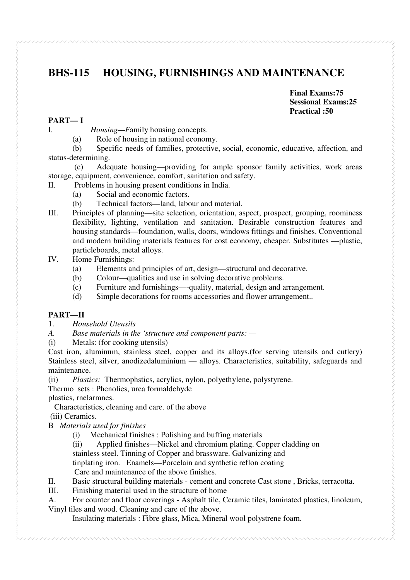# **BHS-115 HOUSING, FURNISHINGS AND MAINTENANCE**

**Final Exams:75 Sessional Exams:25 Practical :50** 

#### **PART— I**

I. *Housing—F*amily housing concepts.

(a) Role of housing in national economy.

 (b) Specific needs of families, protective, social, economic, educative, affection, and status-determining.

 (c) Adequate housing—providing for ample sponsor family activities, work areas storage, equipment, convenience, comfort, sanitation and safety.

- II. Problems in housing present conditions in India.
	- (a) Social and economic factors.
	- (b) Technical factors—land, labour and material.
- III. Principles of planning—site selection, orientation, aspect, prospect, grouping, roominess flexibility, lighting, ventilation and sanitation. Desirable construction features and housing standards—foundation, walls, doors, windows fittings and finishes. Conventional and modern building materials features for cost economy, cheaper. Substitutes —plastic, particleboards, metal alloys.
- IV. Home Furnishings:
	- (a) Elements and principles of art, design—structural and decorative.
	- (b) Colour—qualities and use in solving decorative problems.
	- (c) Furniture and furnishings—-quality, material, design and arrangement.
	- (d) Simple decorations for rooms accessories and flower arrangement..

#### **PART—II**

1. *Household Utensils* 

*A. Base materials in the 'structure and component parts: —*

(i) Metals: (for cooking utensils)

Cast iron, aluminum, stainless steel, copper and its alloys.(for serving utensils and cutlery) Stainless steel, silver, anodizedaluminium — alloys. Characteristics, suitability, safeguards and maintenance.

(ii) *Plastics:* Thermophstics, acrylics, nylon, polyethylene, polystyrene.

Thermo sets : Phenolies, urea formaldehyde

plastics, rnelarmnes.

Characteristics, cleaning and care. of the above

(iii) Ceramics.

- B *Materials used for finishes* 
	- (i) Mechanical finishes : Polishing and buffing materials
	- (ii) Applied finishes—Nickel and chromium plating. Copper cladding on

stainless steel. Tinning of Copper and brassware. Galvanizing and

tinplating iron. Enamels—Porcelain and synthetic reflon coating

Care and maintenance of the above finishes.

- II. Basic structural building materials cement and concrete Cast stone , Bricks, terracotta.
- III. Finishing material used in the structure of home
- A. For counter and floor coverings Asphalt tile, Ceramic tiles, laminated plastics, linoleum, Vinyl tiles and wood. Cleaning and care of the above.

Insulating materials : Fibre glass, Mica, Mineral wool polystrene foam.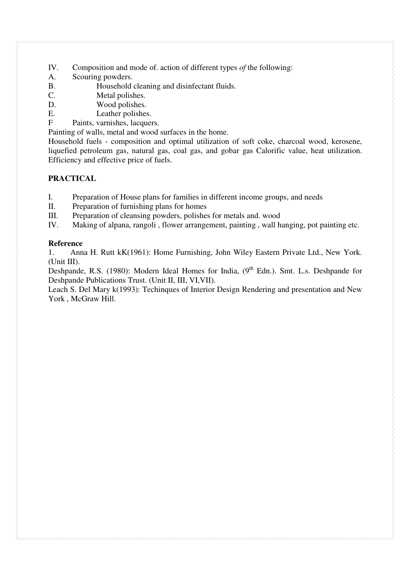- IV. Composition and mode of. action of different types *of* the following:
- A. Scouring powders.
- B. Household cleaning and disinfectant fluids.
- C. Metal polishes.
- D. Wood polishes.
- E. Leather polishes.
- F Paints, varnishes, lacquers.

Painting of walls, metal and wood surfaces in the home.

Household fuels - composition and optimal utilization of soft coke, charcoal wood, kerosene, liquefied petroleum gas, natural gas, coal gas, and gobar gas Calorific value, heat utilization. Efficiency and effective price of fuels.

#### **PRACTICAL**

- I. Preparation of House plans for families in different income groups, and needs
- II. Preparation of furnishing plans for homes
- III. Preparation of cleansing powders, polishes for metals and. wood
- IV. Making of alpana, rangoli , flower arrangement, painting , wall hanging, pot painting etc.

#### **Reference**

1. Anna H. Rutt kK(1961): Home Furnishing, John Wiley Eastern Private Ltd., New York. (Unit III).

Deshpande, R.S. (1980): Modern Ideal Homes for India, (9<sup>th</sup> Edn.). Smt. L.s. Deshpande for Deshpande Publications Trust. (Unit II, III, VI,VII).

Leach S. Del Mary k(1993): Techinques of Interior Design Rendering and presentation and New York , McGraw Hill.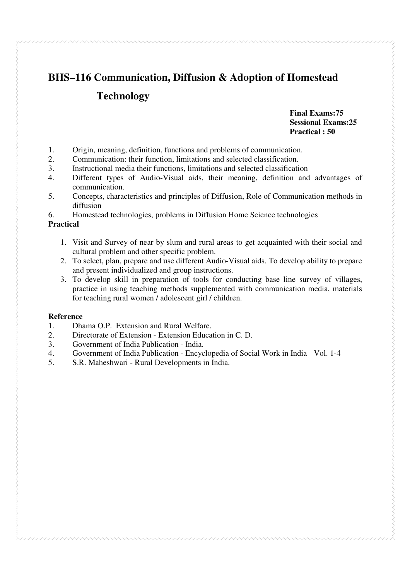# **BHS–116 Communication, Diffusion & Adoption of Homestead Technology**

**Final Exams:75 Sessional Exams:25 Practical : 50**

- 1. Origin, meaning, definition, functions and problems of communication.
- 2. Communication: their function, limitations and selected classification.
- 3. Instructional media their functions, limitations and selected classification
- 4. Different types of Audio-Visual aids, their meaning, definition and advantages of communication.
- 5. Concepts, characteristics and principles of Diffusion, Role of Communication methods in diffusion
- 6. Homestead technologies, problems in Diffusion Home Science technologies

#### **Practical**

- 1. Visit and Survey of near by slum and rural areas to get acquainted with their social and cultural problem and other specific problem.
- 2. To select, plan, prepare and use different Audio-Visual aids. To develop ability to prepare and present individualized and group instructions.
- 3. To develop skill in preparation of tools for conducting base line survey of villages, practice in using teaching methods supplemented with communication media, materials for teaching rural women / adolescent girl / children.

#### **Reference**

- 1. Dhama O.P. Extension and Rural Welfare.
- 2. Directorate of Extension Extension Education in C. D.
- 3. Government of India Publication India.
- 4. Government of India Publication Encyclopedia of Social Work in India Vol. 1-4
- 5. S.R. Maheshwari Rural Developments in India.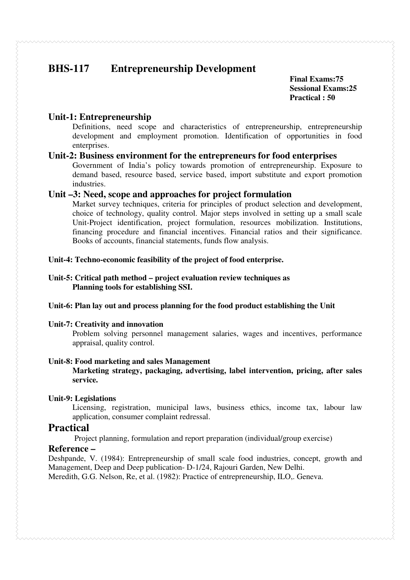# **BHS-117 Entrepreneurship Development**

**Final Exams:75 Sessional Exams:25 Practical : 50**

#### **Unit-1: Entrepreneurship**

Definitions, need scope and characteristics of entrepreneurship, entrepreneurship development and employment promotion. Identification of opportunities in food enterprises.

#### **Unit-2: Business environment for the entrepreneurs for food enterprises**

Government of India's policy towards promotion of entrepreneurship. Exposure to demand based, resource based, service based, import substitute and export promotion industries.

#### **Unit –3: Need, scope and approaches for project formulation**

Market survey techniques, criteria for principles of product selection and development, choice of technology, quality control. Major steps involved in setting up a small scale Unit-Project identification, project formulation, resources mobilization. Institutions, financing procedure and financial incentives. Financial ratios and their significance. Books of accounts, financial statements, funds flow analysis.

#### **Unit-4: Techno-economic feasibility of the project of food enterprise.**

#### **Unit-5: Critical path method – project evaluation review techniques as Planning tools for establishing SSI.**

#### **Unit-6: Plan lay out and process planning for the food product establishing the Unit**

#### **Unit-7: Creativity and innovation**

Problem solving personnel management salaries, wages and incentives, performance appraisal, quality control.

#### **Unit-8: Food marketing and sales Management**

**Marketing strategy, packaging, advertising, label intervention, pricing, after sales service.** 

#### **Unit-9: Legislations**

Licensing, registration, municipal laws, business ethics, income tax, labour law application, consumer complaint redressal.

#### **Practical**

Project planning, formulation and report preparation (individual/group exercise)

#### **Reference –**

Deshpande, V. (1984): Entrepreneurship of small scale food industries, concept, growth and Management, Deep and Deep publication- D-1/24, Rajouri Garden, New Delhi.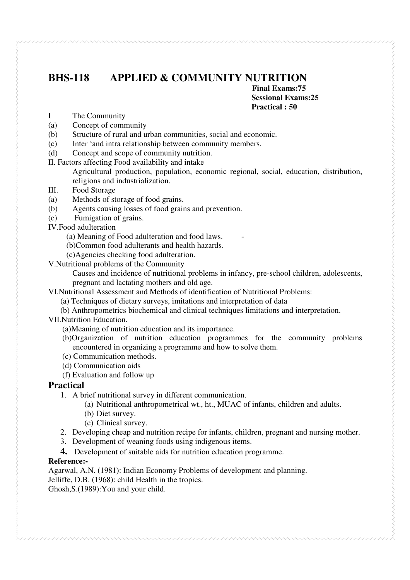# **BHS-118 APPLIED & COMMUNITY NUTRITION**

**Final Exams:75 Sessional Exams:25 Practical : 50**

- I The Community
- (a) Concept of community
- (b) Structure of rural and urban communities, social and economic.
- (c) Inter 'and intra relationship between community members.
- (d) Concept and scope of community nutrition.
- II. Factors affecting Food availability and intake

Agricultural production, population, economic regional, social, education, distribution, religions and industrialization.

- III. Food Storage
- (a) Methods of storage of food grains.
- (b) Agents causing losses of food grains and prevention.
- (c) Fumigation of grains.
- IV.Food adulteration
	- (a) Meaning of Food adulteration and food laws. -
	- (b)Common food adulterants and health hazards.
	- (c)Agencies checking food adulteration.
- V.Nutritional problems of the Community
	- Causes and incidence of nutritional problems in infancy, pre-school children, adolescents, pregnant and lactating mothers and old age.

VI.Nutritional Assessment and Methods of identification of Nutritional Problems:

- (a) Techniques of dietary surveys, imitations and interpretation of data
- (b) Anthropometrics biochemical and clinical techniques limitations and interpretation.
- VII.Nutrition Education.
	- (a)Meaning of nutrition education and its importance.
	- (b)Organization of nutrition education programmes for the community problems encountered in organizing a programme and how to solve them.
	- (c) Communication methods.
	- (d) Communication aids
	- (f) Evaluation and follow up

#### **Practical**

- 1. A brief nutritional survey in different communication.
	- (a) Nutritional anthropometrical wt., ht., MUAC of infants, children and adults.
	- (b) Diet survey.
	- (c) Clinical survey.
- 2. Developing cheap and nutrition recipe for infants, children, pregnant and nursing mother.
- 3. Development of weaning foods using indigenous items.
- **4.** Development of suitable aids for nutrition education programme.

#### **Reference:-**

Agarwal, A.N. (1981): Indian Economy Problems of development and planning. Jelliffe, D.B. (1968): child Health in the tropics. Ghosh,S.(1989):You and your child.